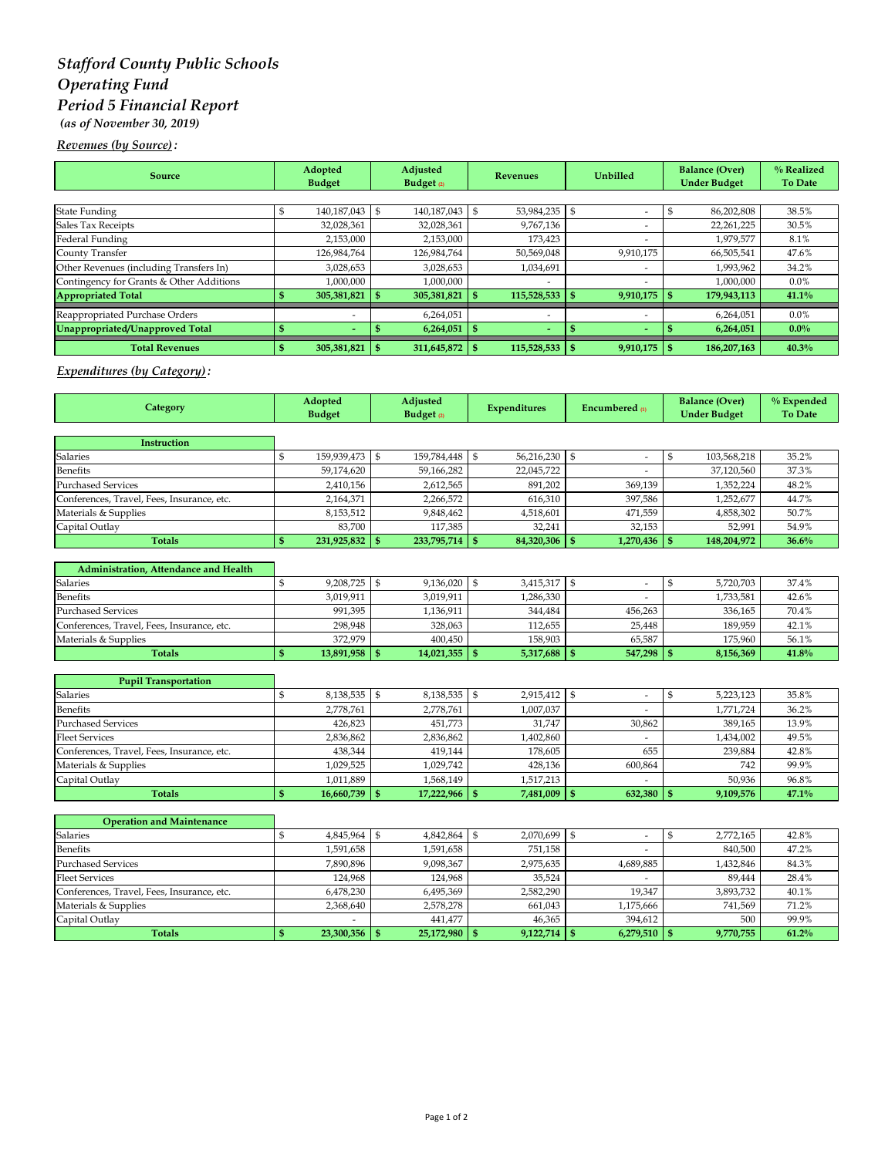# *Stafford County Public Schools Operating Fund Period 5 Financial Report (as of November 30, 2019)*

*Revenues (by Source) :* 

| <b>Source</b>                            | Adopted<br><b>Budget</b> | Adjusted<br>Budget $\varrho$ | <b>Revenues</b>          |   | <b>Unbilled</b>          | <b>Balance (Over)</b><br><b>Under Budget</b> |             | % Realized<br>To Date |
|------------------------------------------|--------------------------|------------------------------|--------------------------|---|--------------------------|----------------------------------------------|-------------|-----------------------|
|                                          |                          |                              |                          |   |                          |                                              |             |                       |
| <b>State Funding</b>                     | 140,187,043 \$           | 140.187.043                  | 53,984,235               | Ŝ | $\overline{a}$           |                                              | 86,202,808  | 38.5%                 |
| Sales Tax Receipts                       | 32,028,361               | 32,028,361                   | 9,767,136                |   |                          |                                              | 22,261,225  | 30.5%                 |
| Federal Funding                          | 2,153,000                | 2,153,000                    | 173,423                  |   |                          |                                              | 1,979,577   | 8.1%                  |
| County Transfer                          | 126,984,764              | 126,984,764                  | 50,569,048               |   | 9,910,175                |                                              | 66,505,541  | 47.6%                 |
| Other Revenues (including Transfers In)  | 3,028,653                | 3,028,653                    | 1,034,691                |   | -                        |                                              | 1,993,962   | 34.2%                 |
| Contingency for Grants & Other Additions | 1,000,000                | 1,000,000                    |                          |   |                          |                                              | 1,000,000   | $0.0\%$               |
| <b>Appropriated Total</b>                | 305,381,821              | 305,381,821                  | 115,528,533              |   | 9,910,175                |                                              | 179,943,113 | 41.1%                 |
| Reappropriated Purchase Orders           | -                        | 6,264,051                    | $\overline{\phantom{a}}$ |   |                          |                                              | 6,264,051   | $0.0\%$               |
| Unappropriated/Unapproved Total          | $\overline{\phantom{a}}$ | 6,264,051                    | $\sim$                   |   | $\overline{\phantom{0}}$ |                                              | 6,264,051   | $0.0\%$               |
| <b>Total Revenues</b>                    | 305,381,821              | 311,645,872                  | 115,528,533              |   | $9,910,175$ \$           |                                              | 186,207,163 | 40.3%                 |

### *Expenditures (by Category) :*

| Category                                   | Adopted<br><b>Budget</b> |             | Adjusted<br>Budget <sub>(2)</sub> |             | <b>Expenditures</b> |            | <b>Encumbered</b> m     |                          | <b>Balance (Over)</b><br><b>Under Budget</b> |             | % Expended<br><b>To Date</b> |
|--------------------------------------------|--------------------------|-------------|-----------------------------------|-------------|---------------------|------------|-------------------------|--------------------------|----------------------------------------------|-------------|------------------------------|
|                                            |                          |             |                                   |             |                     |            |                         |                          |                                              |             |                              |
| Instruction                                |                          |             |                                   |             |                     |            |                         |                          |                                              |             |                              |
| Salaries                                   | \$                       | 159,939,473 | \$                                | 159,784,448 | \$                  | 56,216,230 | $\mathfrak{s}$          | $\overline{\phantom{a}}$ | $\$$                                         | 103,568,218 | 35.2%                        |
| <b>Benefits</b>                            |                          | 59,174,620  |                                   | 59,166,282  |                     | 22,045,722 |                         |                          |                                              | 37,120,560  | 37.3%                        |
| <b>Purchased Services</b>                  |                          | 2,410,156   |                                   | 2,612,565   |                     | 891,202    |                         | 369,139                  |                                              | 1,352,224   | 48.2%                        |
| Conferences, Travel, Fees, Insurance, etc. |                          | 2,164,371   |                                   | 2,266,572   |                     | 616,310    |                         | 397,586                  |                                              | 1,252,677   | 44.7%                        |
| Materials & Supplies                       |                          | 8,153,512   |                                   | 9,848,462   |                     | 4,518,601  |                         | 471.559                  |                                              | 4,858,302   | 50.7%                        |
| Capital Outlay                             |                          | 83.700      |                                   | 117,385     |                     | 32.241     |                         | 32.153                   |                                              | 52,991      | 54.9%                        |
| <b>Totals</b>                              | S                        | 231,925,832 | l \$                              | 233,795,714 | \$                  | 84,320,306 | $\mathbb{S}$            | $1,270,436$ \$           |                                              | 148,204,972 | 36.6%                        |
| Administration, Attendance and Health      |                          |             |                                   |             |                     |            |                         |                          |                                              |             |                              |
| Salaries                                   | \$                       | 9,208,725   | $\mathbb{S}$                      | 9,136,020   | \$                  | 3,415,317  | <sup>5</sup>            | $\overline{\phantom{a}}$ | \$                                           | 5,720,703   | 37.4%                        |
| <b>Benefits</b>                            |                          | 3,019,911   |                                   | 3,019,911   |                     | 1,286,330  |                         |                          |                                              | 1,733,581   | 42.6%                        |
| <b>Purchased Services</b>                  |                          | 991,395     |                                   | 1,136,911   |                     | 344,484    |                         | 456,263                  |                                              | 336,165     | 70.4%                        |
| Conferences, Travel, Fees, Insurance, etc. |                          | 298,948     |                                   | 328,063     |                     | 112,655    |                         | 25,448                   |                                              | 189,959     | 42.1%                        |
| Materials & Supplies                       |                          | 372,979     |                                   | 400,450     |                     | 158,903    |                         | 65,587                   |                                              | 175,960     | 56.1%                        |
| <b>Totals</b>                              | $\mathbf{s}$             | 13,891,958  | <b>S</b>                          | 14,021,355  | $\mathbf{s}$        | 5,317,688  | $\mathbf{s}$            | 547,298                  | - \$                                         | 8,156,369   | 41.8%                        |
|                                            |                          |             |                                   |             |                     |            |                         |                          |                                              |             |                              |
| <b>Pupil Transportation</b>                |                          |             |                                   |             |                     |            |                         |                          |                                              |             |                              |
| <b>Salaries</b>                            | \$                       | 8,138,535   | $\mathfrak{S}$                    | 8,138,535   | \$                  | 2,915,412  | $\vert$ \$              | $\overline{\phantom{a}}$ | $\$$                                         | 5,223,123   | 35.8%                        |
| <b>Benefits</b>                            |                          | 2,778,761   |                                   | 2,778,761   |                     | 1,007,037  |                         |                          |                                              | 1,771,724   | 36.2%                        |
| <b>Purchased Services</b>                  |                          | 426,823     |                                   | 451,773     |                     | 31,747     |                         | 30,862                   |                                              | 389,165     | 13.9%                        |
| <b>Fleet Services</b>                      |                          | 2,836,862   |                                   | 2,836,862   |                     | 1,402,860  |                         |                          |                                              | 1,434,002   | 49.5%                        |
| Conferences, Travel, Fees, Insurance, etc. |                          | 438,344     |                                   | 419,144     |                     | 178,605    |                         | 655                      |                                              | 239,884     | 42.8%                        |
| Materials & Supplies                       |                          | 1,029,525   |                                   | 1,029,742   |                     | 428,136    |                         | 600,864                  |                                              | 742         | 99.9%                        |
| Capital Outlay                             |                          | 1,011,889   |                                   | 1,568,149   |                     | 1,517,213  |                         |                          |                                              | 50,936      | 96.8%                        |
| <b>Totals</b>                              | \$                       | 16,660,739  | l \$                              | 17,222,966  | \$                  | 7,481,009  | $\mathsf{I}$ s          | 632,380                  | l \$                                         | 9,109,576   | 47.1%                        |
| <b>Operation and Maintenance</b>           |                          |             |                                   |             |                     |            |                         |                          |                                              |             |                              |
| Salaries                                   | \$                       | 4,845,964   | \$                                | 4,842,864   | \$                  | 2,070,699  | \$                      | $\overline{\phantom{a}}$ | $\$$                                         | 2,772,165   | 42.8%                        |
| <b>Benefits</b>                            |                          | 1,591,658   |                                   | 1,591,658   |                     | 751,158    |                         |                          |                                              | 840,500     | 47.2%                        |
| <b>Purchased Services</b>                  |                          | 7,890,896   |                                   | 9,098,367   |                     | 2,975,635  |                         | 4,689,885                |                                              | 1,432,846   | 84.3%                        |
| <b>Fleet Services</b>                      |                          | 124,968     |                                   | 124,968     |                     | 35,524     |                         |                          |                                              | 89,444      | 28.4%                        |
| Conferences, Travel, Fees, Insurance, etc. |                          | 6,478,230   |                                   | 6,495,369   |                     | 2,582,290  |                         | 19,347                   |                                              | 3,893,732   | 40.1%                        |
| Materials & Supplies                       |                          | 2,368,640   |                                   | 2,578,278   |                     | 661,043    |                         | 1,175,666                |                                              | 741,569     | 71.2%                        |
| Capital Outlay                             |                          |             |                                   | 441,477     |                     | 46,365     |                         | 394,612                  |                                              | 500         | 99.9%                        |
| <b>Totals</b>                              | \$                       | 23,300,356  | - \$                              | 25,172,980  | \$                  | 9,122,714  | $\overline{\mathbf{s}}$ | $6,279,510$ \$           |                                              | 9,770,755   | 61.2%                        |